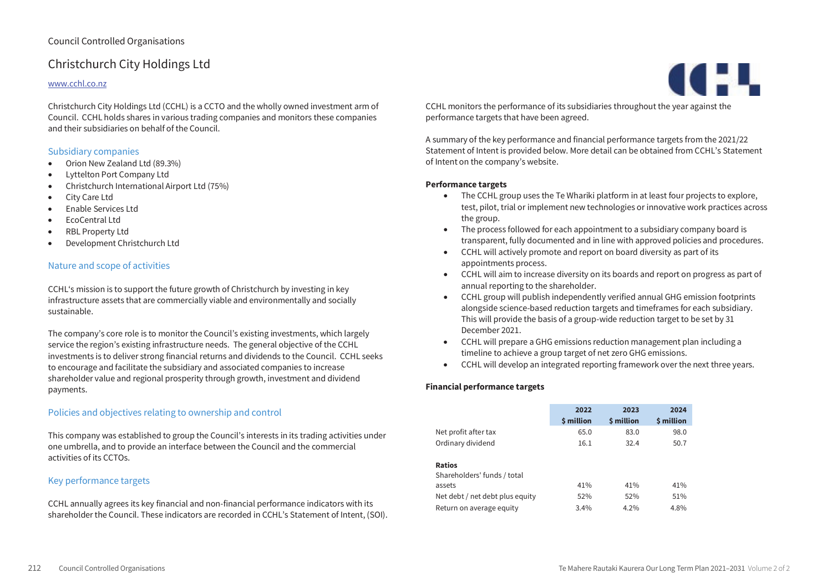# Christchurch City Holdings Ltd

### www.cchl.co.nz

Christchurch City Holdings Ltd (CCHL) is a CCTO and the wholly owned investment arm of Council. CCHL holds shares in various trading companies and monitors these companies and their subsidiaries on behalf of the Council.

### Subsidiary companies

- Orion New Zealand Ltd (89.3%)
- Lyttelton Port Company Ltd
- Christchurch International Airport Ltd (75%)
- City Care Ltd
- Enable Services Ltd
- EcoCentral Ltd
- RBL Property Ltd
- Development Christchurch Ltd

### Nature and scope of activities

CCHL's mission is to support the future growth of Christchurch by investing in key infrastructure assets that are commercially viable and environmentally and socially sustainable.

The company's core role is to monitor the Council's existing investments, which largely service the region's existing infrastructure needs. The general objective of the CCHL investments is to deliver strong financial returns and dividends to the Council. CCHL seeks to encourage and facilitate the subsidiary and associated companies to increase shareholder value and regional prosperity through growth, investment and dividend payments.

# Policies and objectives relating to ownership and control

This company was established to group the Council's interests in its trading activities under one umbrella, and to provide an interface between the Council and the commercial activities of its CCTOs.

### Key performance targets

CCHL annually agrees its key financial and non-financial performance indicators with its shareholder the Council. These indicators are recorded in CCHL's Statement of Intent, (SOI).



CCHL monitors the performance of its subsidiaries throughout the year against the performance targets that have been agreed.

A summary of the key performance and financial performance targets from the 2021/22 Statement of Intent is provided below. More detail can be obtained from CCHL's Statement of Intent on the company's website.

#### **Performance targets**

- The CCHL group uses the Te Whariki platform in at least four projects to explore, test, pilot, trial or implement new technologies or innovative work practices across the group.
- The process followed for each appointment to a subsidiary company board is transparent, fully documented and in line with approved policies and procedures.
- CCHL will actively promote and report on board diversity as part of its appointments process.
- CCHL will aim to increase diversity on its boards and report on progress as part of annual reporting to the shareholder.
- CCHL group will publish independently verified annual GHG emission footprints alongside science-based reduction targets and timeframes for each subsidiary. This will provide the basis of a group-wide reduction target to be set by 31 December 2021.
- CCHL will prepare a GHG emissions reduction management plan including a timeline to achieve a group target of net zero GHG emissions.
- CCHL will develop an integrated reporting framework over the next three years.

|                                              | 2022<br>\$ million | 2023<br>\$ million | 2024<br><b><i>S</i></b> million |
|----------------------------------------------|--------------------|--------------------|---------------------------------|
| Net profit after tax                         | 65.0               | 83.0               | 98.0                            |
| Ordinary dividend                            | 16.1               | 32.4               | 50.7                            |
| <b>Ratios</b><br>Shareholders' funds / total |                    |                    |                                 |
| assets                                       | 41%                | 41%                | 41%                             |
| Net debt / net debt plus equity              | 52%                | 52%                | 51%                             |
| Return on average equity                     | 3.4%               | $4.2\%$            | 4.8%                            |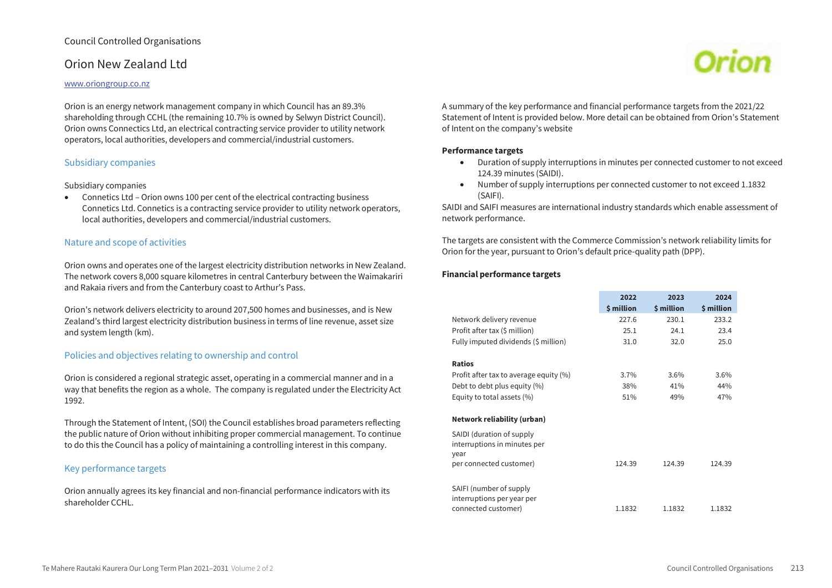# Orion New Zealand Ltd

#### www.oriongroup.co.nz

Orion is an energy network management company in which Council has an 89.3% shareholding through CCHL (the remaining 10.7% is owned by Selwyn District Council). Orion owns Connectics Ltd, an electrical contracting service provider to utility network operators, local authorities, developers and commercial/industrial customers.

### Subsidiary companies

#### Subsidiary companies

 Connetics Ltd – Orion owns 100 per cent of the electrical contracting business Connetics Ltd. Connetics is a contracting service provider to utility network operators, local authorities, developers and commercial/industrial customers.

## Nature and scope of activities

Orion owns and operates one of the largest electricity distribution networks in New Zealand. The network covers 8,000 square kilometres in central Canterbury between the Waimakariri and Rakaia rivers and from the Canterbury coast to Arthur's Pass.

Orion's network delivers electricity to around 207,500 homes and businesses, and is New Zealand's third largest electricity distribution business in terms of line revenue, asset size and system length (km).

## Policies and objectives relating to ownership and control

Orion is considered a regional strategic asset, operating in a commercial manner and in a way that benefits the region as a whole. The company is regulated under the Electricity Act 1992.

Through the Statement of Intent, (SOI) the Council establishes broad parameters reflecting the public nature of Orion without inhibiting proper commercial management. To continue to do this the Council has a policy of maintaining a controlling interest in this company.

### Key performance targets

Orion annually agrees its key financial and non-financial performance indicators with its shareholder CCHL.



A summary of the key performance and financial performance targets from the 2021/22 Statement of Intent is provided below. More detail can be obtained from Orion's Statement of Intent on the company's website

#### **Performance targets**

- Duration of supply interruptions in minutes per connected customer to not exceed 124.39 minutes (SAIDI).
- Number of supply interruptions per connected customer to not exceed 1.1832 (SAIFI).

SAIDI and SAIFI measures are international industry standards which enable assessment of network performance.

The targets are consistent with the Commerce Commission's network reliability limits for Orion for the year, pursuant to Orion's default price-quality path (DPP).

|                                        | 2022       | 2023       | 2024       |
|----------------------------------------|------------|------------|------------|
|                                        | \$ million | \$ million | \$ million |
| Network delivery revenue               | 227.6      | 230.1      | 233.2      |
| Profit after tax (\$ million)          | 25.1       | 24.1       | 23.4       |
| Fully imputed dividends (\$ million)   | 31.0       | 32.0       | 25.0       |
|                                        |            |            |            |
| <b>Ratios</b>                          |            |            |            |
| Profit after tax to average equity (%) | $3.7\%$    | $3.6\%$    | 3.6%       |
| Debt to debt plus equity (%)           | 38%        | 41%        | 44%        |
| Equity to total assets (%)             | 51%        | 49%        | 47%        |
|                                        |            |            |            |
| Network reliability (urban)            |            |            |            |
| SAIDI (duration of supply              |            |            |            |
| interruptions in minutes per           |            |            |            |
| year                                   |            |            |            |
| per connected customer)                | 124.39     | 124.39     | 124.39     |
|                                        |            |            |            |
| SAIFI (number of supply                |            |            |            |
| interruptions per year per             |            |            |            |
| connected customer)                    | 1.1832     | 1.1832     | 1.1832     |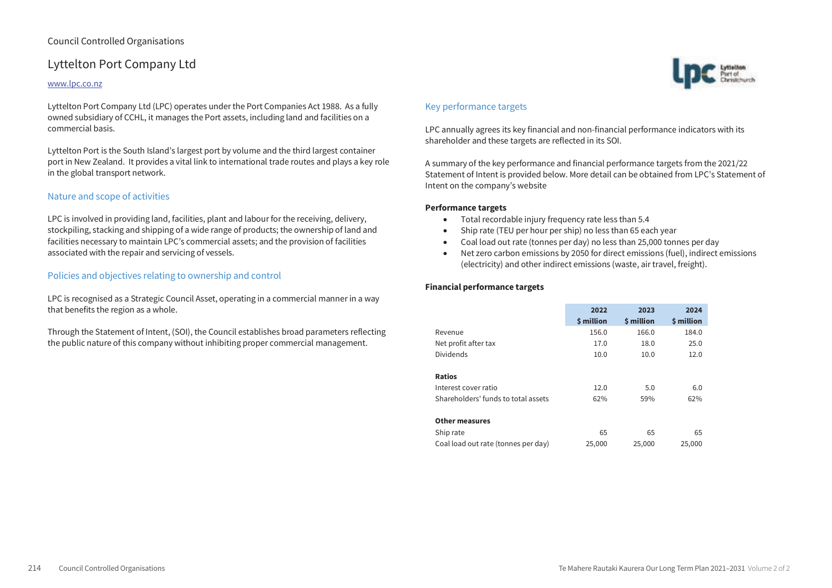# Lyttelton Port Company Ltd

### www.lpc.co.nz

Lyttelton Port Company Ltd (LPC) operates under the Port Companies Act 1988. As a fully owned subsidiary of CCHL, it manages the Port assets, including land and facilities on a commercial basis.

Lyttelton Port is the South Island's largest port by volume and the third largest container port in New Zealand. It provides a vital link to international trade routes and plays a key role in the global transport network.

# Nature and scope of activities

LPC is involved in providing land, facilities, plant and labour for the receiving, delivery, stockpiling, stacking and shipping of a wide range of products; the ownership of land and facilities necessary to maintain LPC's commercial assets; and the provision of facilities associated with the repair and servicing of vessels.

# Policies and objectives relating to ownership and control

LPC is recognised as a Strategic Council Asset, operating in a commercial manner in a way that benefits the region as a whole.

Through the Statement of Intent, (SOI), the Council establishes broad parameters reflecting the public nature of this company without inhibiting proper commercial management.



# Key performance targets

LPC annually agrees its key financial and non-financial performance indicators with its shareholder and these targets are reflected in its SOI.

A summary of the key performance and financial performance targets from the 2021/22 Statement of Intent is provided below. More detail can be obtained from LPC's Statement of Intent on the company's website

#### **Performance targets**

- Total recordable injury frequency rate less than 5.4
- Ship rate (TEU per hour per ship) no less than 65 each year
- Coal load out rate (tonnes per day) no less than 25,000 tonnes per day
- Net zero carbon emissions by 2050 for direct emissions (fuel), indirect emissions (electricity) and other indirect emissions (waste, air travel, freight).

|                                     | 2022<br>\$ million | 2023<br>\$ million | 2024<br>\$ million |
|-------------------------------------|--------------------|--------------------|--------------------|
| Revenue                             | 156.0              | 166.0              | 184.0              |
| Net profit after tax                | 17.0               | 18.0               | 25.0               |
| <b>Dividends</b>                    | 10.0               | 10.0               | 12.0               |
| <b>Ratios</b>                       |                    |                    |                    |
| Interest cover ratio                | 12.0               | 5.0                | 6.0                |
| Shareholders' funds to total assets | 62%                | 59%                | 62%                |
| <b>Other measures</b>               |                    |                    |                    |
| Ship rate                           | 65                 | 65                 | 65                 |
| Coal load out rate (tonnes per day) | 25,000             | 25,000             | 25,000             |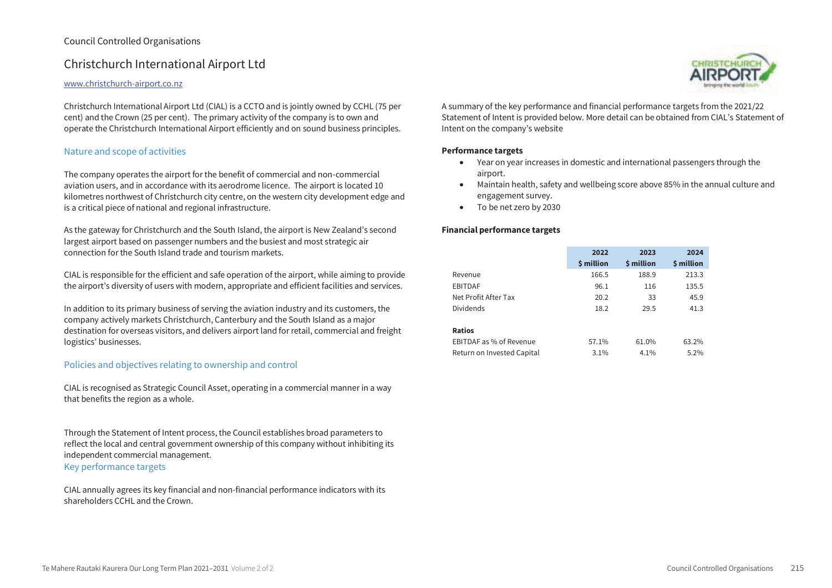# Christchurch International Airport Ltd

### www.christchurch-airport.co.nz

Christchurch International Airport Ltd (CIAL) is a CCTO and is jointly owned by CCHL (75 per cent) and the Crown (25 per cent). The primary activity of the company is to own and operate the Christchurch International Airport efficiently and on sound business principles.

# Nature and scope of activities

The company operates the airport for the benefit of commercial and non-commercial aviation users, and in accordance with its aerodrome licence. The airport is located 10 kilometres northwest of Christchurch city centre, on the western city development edge and is a critical piece of national and regional infrastructure.

As the gateway for Christchurch and the South Island, the airport is New Zealand's second largest airport based on passenger numbers and the busiest and most strategic air connection for the South Island trade and tourism markets.

CIAL is responsible for the efficient and safe operation of the airport, while aiming to provide the airport's diversity of users with modern, appropriate and efficient facilities and services.

In addition to its primary business of serving the aviation industry and its customers, the company actively markets Christchurch, Canterbury and the South Island as a major destination for overseas visitors, and delivers airport land for retail, commercial and freight logistics' businesses.

# Policies and objectives relating to ownership and control

CIAL is recognised as Strategic Council Asset, operating in a commercial manner in a way that benefits the region as a whole.

Through the Statement of Intent process, the Council establishes broad parameters to reflect the local and central government ownership of this company without inhibiting its independent commercial management. Key performance targets

CIAL annually agrees its key financial and non-financial performance indicators with its shareholders CCHL and the Crown.



A summary of the key performance and financial performance targets from the 2021/22 Statement of Intent is provided below. More detail can be obtained from CIAL's Statement of Intent on the company's website

### **Performance targets**

- Year on year increases in domestic and international passengers through the airport.
- Maintain health, safety and wellbeing score above 85% in the annual culture and engagement survey.
- To be net zero by 2030

|                            | 2022       | 2023       | 2024       |
|----------------------------|------------|------------|------------|
|                            | \$ million | \$ million | \$ million |
| Revenue                    | 166.5      | 188.9      | 213.3      |
| <b>EBITDAF</b>             | 96.1       | 116        | 135.5      |
| Net Profit After Tax       | 20.2       | 33         | 45.9       |
| <b>Dividends</b>           | 18.2       | 29.5       | 41.3       |
|                            |            |            |            |
| <b>Ratios</b>              |            |            |            |
| EBITDAF as % of Revenue    | 57.1%      | 61.0%      | 63.2%      |
| Return on Invested Capital | 3.1%       | 4.1%       | 5.2%       |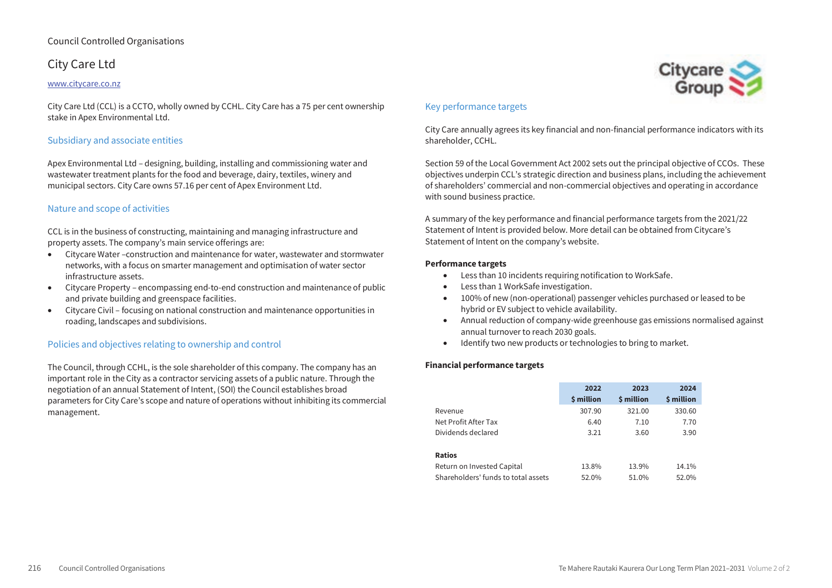# City Care Ltd

#### www.citycare.co.nz

City Care Ltd (CCL) is a CCTO, wholly owned by CCHL. City Care has a 75 per cent ownership stake in Apex Environmental Ltd.

# Subsidiary and associate entities

Apex Environmental Ltd – designing, building, installing and commissioning water and wastewater treatment plants for the food and beverage, dairy, textiles, winery and municipal sectors. City Care owns 57.16 per cent of Apex Environment Ltd.

# Nature and scope of activities

CCL is in the business of constructing, maintaining and managing infrastructure and property assets. The company's main service offerings are:

- Citycare Water –construction and maintenance for water, wastewater and stormwater networks, with a focus on smarter management and optimisation of water sector infrastructure assets.
- Citycare Property encompassing end-to-end construction and maintenance of public and private building and greenspace facilities.
- Citycare Civil focusing on national construction and maintenance opportunities in roading, landscapes and subdivisions.

## Policies and objectives relating to ownership and control

The Council, through CCHL, is the sole shareholder of this company. The company has an important role in the City as a contractor servicing assets of a public nature. Through the negotiation of an annual Statement of Intent, (SOI) the Council establishes broad parameters for City Care's scope and nature of operations without inhibiting its commercial management.

# Key performance targets

City Care annually agrees its key financial and non-financial performance indicators with its shareholder, CCHL.

Citycare

Section 59 of the Local Government Act 2002 sets out the principal objective of CCOs. These objectives underpin CCL's strategic direction and business plans, including the achievement of shareholders' commercial and non-commercial objectives and operating in accordance with sound business practice.

A summary of the key performance and financial performance targets from the 2021/22 Statement of Intent is provided below. More detail can be obtained from Citycare's Statement of Intent on the company's website.

### **Performance targets**

- Less than 10 incidents requiring notification to WorkSafe.
- Less than 1 WorkSafe investigation.
- 100% of new (non-operational) passenger vehicles purchased or leased to be hybrid or EV subject to vehicle availability.
- Annual reduction of company-wide greenhouse gas emissions normalised against annual turnover to reach 2030 goals.
- $\bullet$  Identify two new products or technologies to bring to market.

|                                     | 2022       | 2023                    | 2024       |
|-------------------------------------|------------|-------------------------|------------|
|                                     | \$ million | <b><i>S</i></b> million | \$ million |
| Revenue                             | 307.90     | 321.00                  | 330.60     |
| Net Profit After Tax                | 6.40       | 7.10                    | 7.70       |
| Dividends declared                  | 3.21       | 3.60                    | 3.90       |
| <b>Ratios</b>                       |            |                         |            |
| Return on Invested Capital          | 13.8%      | 13.9%                   | 14.1%      |
| Shareholders' funds to total assets | 52.0%      | 51.0%                   | 52.0%      |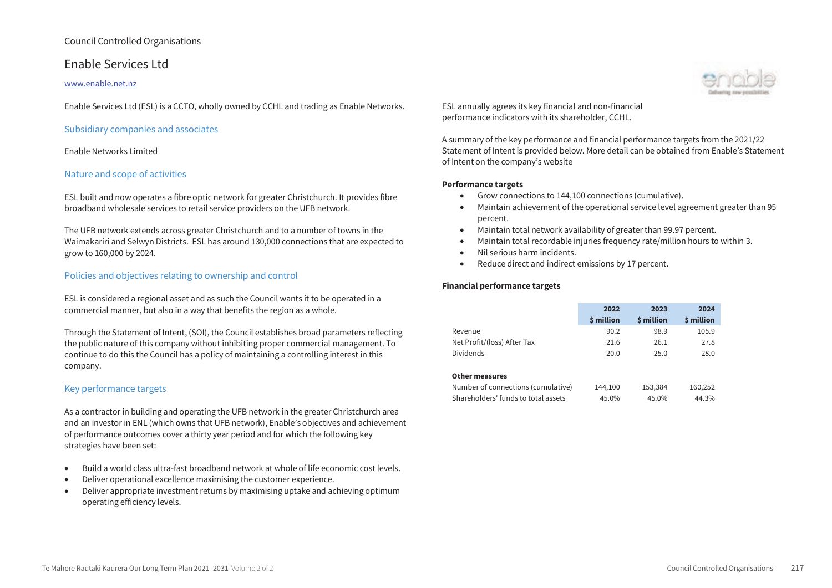# Enable Services Ltd

### www.enable.net.nz

Enable Services Ltd (ESL) is a CCTO, wholly owned by CCHL and trading as Enable Networks.

### Subsidiary companies and associates

#### Enable Networks Limited

### Nature and scope of activities

ESL built and now operates a fibre optic network for greater Christchurch. It provides fibre broadband wholesale services to retail service providers on the UFB network.

The UFB network extends across greater Christchurch and to a number of towns in the Waimakariri and Selwyn Districts. ESL has around 130,000 connections that are expected to grow to 160,000 by 2024.

### Policies and objectives relating to ownership and control

ESL is considered a regional asset and as such the Council wants it to be operated in a commercial manner, but also in a way that benefits the region as a whole.

Through the Statement of Intent, (SOI), the Council establishes broad parameters reflecting the public nature of this company without inhibiting proper commercial management. To continue to do this the Council has a policy of maintaining a controlling interest in this company.

# Key performance targets

As a contractor in building and operating the UFB network in the greater Christchurch area and an investor in ENL (which owns that UFB network), Enable's objectives and achievement of performance outcomes cover a thirty year period and for which the following key strategies have been set:

- Build a world class ultra-fast broadband network at whole of life economic cost levels.
- Deliver operational excellence maximising the customer experience.
- Deliver appropriate investment returns by maximising uptake and achieving optimum operating efficiency levels.

ESL annually agrees its key financial and non-financial performance indicators with its shareholder, CCHL.

A summary of the key performance and financial performance targets from the 2021/22 Statement of Intent is provided below. More detail can be obtained from Enable's Statement of Intent on the company's website

#### **Performance targets**

- Grow connections to 144,100 connections (cumulative).
- Maintain achievement of the operational service level agreement greater than 95 percent.
- Maintain total network availability of greater than 99.97 percent.
- Maintain total recordable injuries frequency rate/million hours to within 3.
- Nil serious harm incidents.
- Reduce direct and indirect emissions by 17 percent.

|                                     | 2022<br>\$ million | 2023<br>\$ million | 2024<br>\$ million |
|-------------------------------------|--------------------|--------------------|--------------------|
| Revenue                             | 90.2               | 98.9               | 105.9              |
| Net Profit/(loss) After Tax         | 21.6               | 26.1               | 27.8               |
| <b>Dividends</b>                    | 20.0               | 25.0               | 28.0               |
| <b>Other measures</b>               |                    |                    |                    |
| Number of connections (cumulative)  | 144,100            | 153,384            | 160,252            |
| Shareholders' funds to total assets | 45.0%              | 45.0%              | 44.3%              |

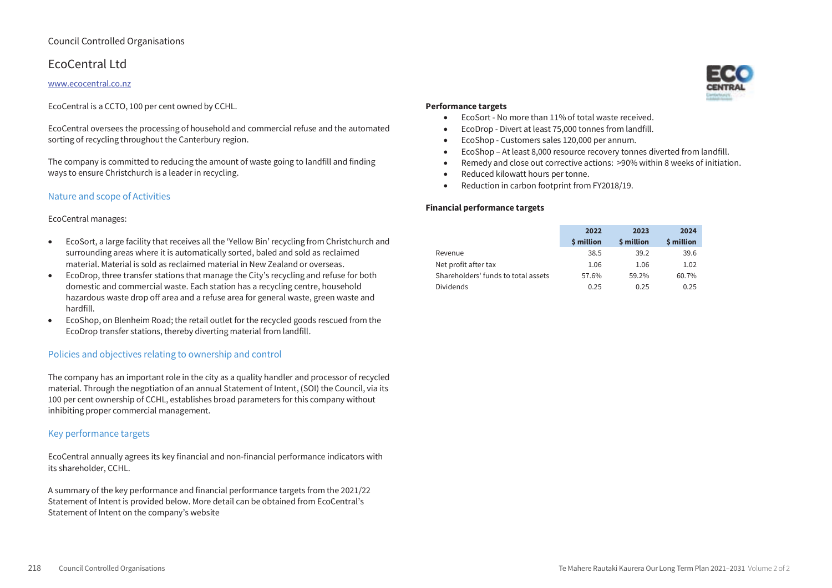# EcoCentral Ltd

# www.ecocentral.co.nz

EcoCentral is a CCTO, 100 per cent owned by CCHL.

EcoCentral oversees the processing of household and commercial refuse and the automated sorting of recycling throughout the Canterbury region.

The company is committed to reducing the amount of waste going to landfill and finding ways to ensure Christchurch is a leader in recycling.

# Nature and scope of Activities

# EcoCentral manages:

- EcoSort, a large facility that receives all the 'Yellow Bin' recycling from Christchurch and surrounding areas where it is automatically sorted, baled and sold as reclaimed material. Material is sold as reclaimed material in New Zealand or overseas.
- EcoDrop, three transfer stations that manage the City's recycling and refuse for both domestic and commercial waste. Each station has a recycling centre, household hazardous waste drop off area and a refuse area for general waste, green waste and hardfill.
- EcoShop, on Blenheim Road; the retail outlet for the recycled goods rescued from the EcoDrop transfer stations, thereby diverting material from landfill.

# Policies and objectives relating to ownership and control

The company has an important role in the city as a quality handler and processor of recycled material. Through the negotiation of an annual Statement of Intent, (SOI) the Council, via its 100 per cent ownership of CCHL, establishes broad parameters for this company without inhibiting proper commercial management.

# Key performance targets

EcoCentral annually agrees its key financial and non-financial performance indicators with its shareholder, CCHL.

A summary of the key performance and financial performance targets from the 2021/22 Statement of Intent is provided below. More detail can be obtained from EcoCentral's Statement of Intent on the company's website

# **Performance targets**

- EcoSort No more than 11% of total waste received.
- EcoDrop Divert at least 75,000 tonnes from landfill.
- EcoShop Customers sales 120,000 per annum.
- EcoShop At least 8,000 resource recovery tonnes diverted from landfill.
- Remedy and close out corrective actions: >90% within 8 weeks of initiation.
- Reduced kilowatt hours per tonne.
- Reduction in carbon footprint from FY2018/19.

|                                     | 2022       | 2023       | 2024       |
|-------------------------------------|------------|------------|------------|
|                                     | \$ million | \$ million | \$ million |
| Revenue                             | 38.5       | 39.2       | 39.6       |
| Net profit after tax                | 1.06       | 1.06       | 1.02       |
| Shareholders' funds to total assets | 57.6%      | 59.2%      | 60.7%      |
| <b>Dividends</b>                    | 0.25       | 0.25       | 0.25       |

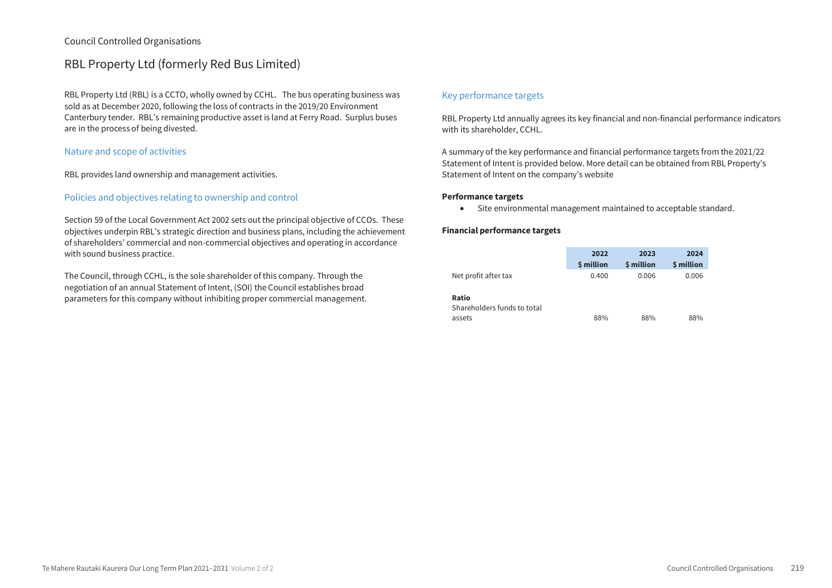# RBL Property Ltd (formerly Red Bus Limited)

RBL Property Ltd (RBL) is a CCTO, wholly owned by CCHL. The bus operating business was sold as at December 2020, following the loss of contracts in the 2019/20 Environment Canterbury tender. RBL's remaining productive asset is land at Ferry Road. Surplus buses are in the process of being divested.

# Nature and scope of activities

RBL provides land ownership and management activities.

# Policies and objectives relating to ownership and control

Section 59 of the Local Government Act 2002 sets out the principal objective of CCOs. These objectives underpin RBL's strategic direction and business plans, including the achievement of shareholders' commercial and non-commercial objectives and operating in accordance with sound business practice.

The Council, through CCHL, is the sole shareholder of this company. Through the negotiation of an annual Statement of Intent, (SOI) the Council establishes broad parameters for this company without inhibiting proper commercial management.

# Key performance targets

RBL Property Ltd annually agrees its key financial and non-financial performance indicators with its shareholder, CCHL.

A summary of the key performance and financial performance targets from the 2021/22 Statement of Intent is provided below. More detail can be obtained from RBL Property's Statement of Intent on the company's website

### **Performance targets**

Site environmental management maintained to acceptable standard.

|                                      | 2022       | 2023       | 2024       |
|--------------------------------------|------------|------------|------------|
|                                      | \$ million | \$ million | \$ million |
| Net profit after tax                 | 0.400      | 0.006      | 0.006      |
| Ratio<br>Shareholders funds to total |            |            |            |
| assets                               | 88%        | 88%        | 88%        |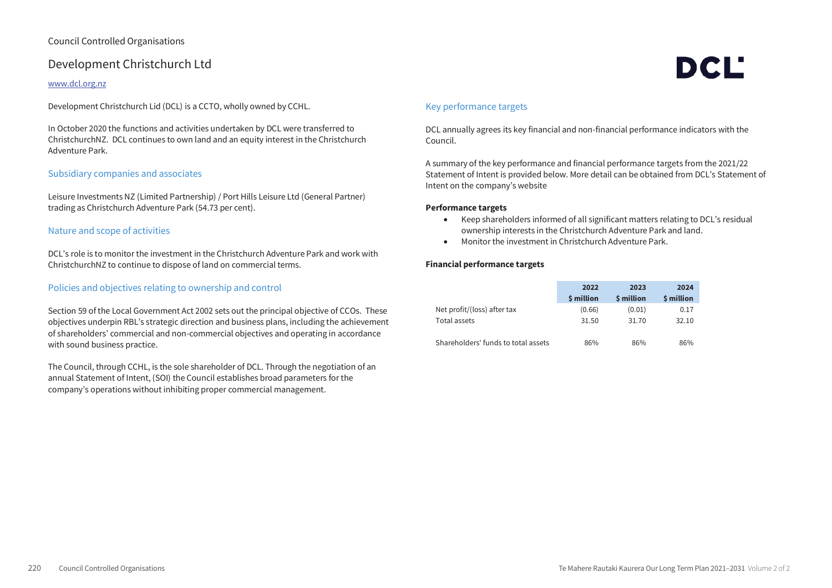# Development Christchurch Ltd

### www.dcl.org.nz

Development Christchurch Lid (DCL) is a CCTO, wholly owned by CCHL.

In October 2020 the functions and activities undertaken by DCL were transferred to ChristchurchNZ. DCL continues to own land and an equity interest in the Christchurch Adventure Park.

## Subsidiary companies and associates

Leisure Investments NZ (Limited Partnership) / Port Hills Leisure Ltd (General Partner) trading as Christchurch Adventure Park (54.73 per cent).

## Nature and scope of activities

DCL's role is to monitor the investment in the Christchurch Adventure Park and work with ChristchurchNZ to continue to dispose of land on commercial terms.

## Policies and objectives relating to ownership and control

Section 59 of the Local Government Act 2002 sets out the principal objective of CCOs. These objectives underpin RBL's strategic direction and business plans, including the achievement of shareholders' commercial and non-commercial objectives and operating in accordance with sound business practice.

The Council, through CCHL, is the sole shareholder of DCL. Through the negotiation of an annual Statement of Intent, (SOI) the Council establishes broad parameters for the company's operations without inhibiting proper commercial management.

# Key performance targets

DCL annually agrees its key financial and non-financial performance indicators with the Council.

A summary of the key performance and financial performance targets from the 2021/22 Statement of Intent is provided below. More detail can be obtained from DCL's Statement of Intent on the company's website

DCL'

#### **Performance targets**

- Keep shareholders informed of all significant matters relating to DCL's residual ownership interests in the Christchurch Adventure Park and land.
- Monitor the investment in Christchurch Adventure Park.

|                                     | 2022       | 2023       | 2024       |
|-------------------------------------|------------|------------|------------|
|                                     | \$ million | \$ million | \$ million |
| Net profit/(loss) after tax         | (0.66)     | (0.01)     | 0.17       |
| Total assets                        | 31.50      | 31.70      | 32.10      |
|                                     |            |            |            |
| Shareholders' funds to total assets | 86%        | 86%        | 86%        |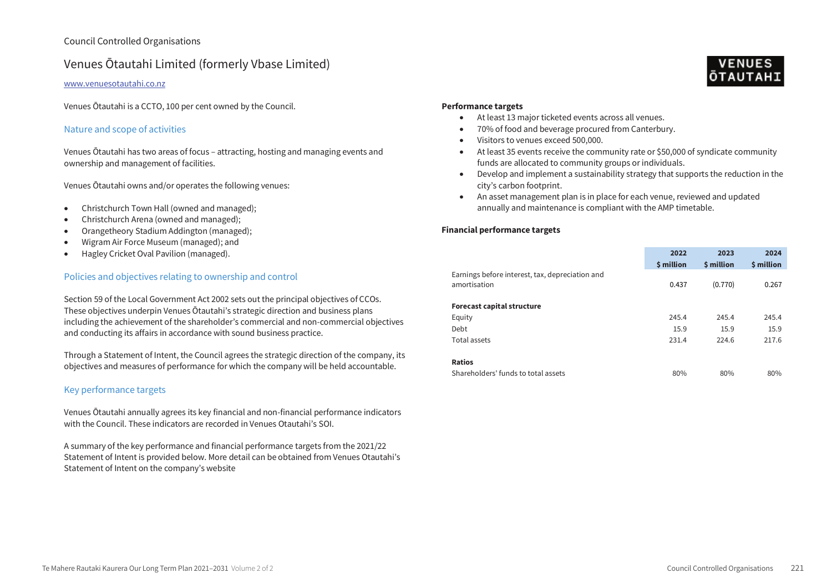# Venues Ōtautahi Limited (formerly Vbase Limited)

#### www.venuesotautahi.co.nz

Venues Ōtautahi is a CCTO, 100 per cent owned by the Council.

## Nature and scope of activities

Venues Ōtautahi has two areas of focus – attracting, hosting and managing events and ownership and management of facilities.

Venues Otautahi owns and/or operates the following venues:

- Christchurch Town Hall (owned and managed);
- Christchurch Arena (owned and managed);
- Orangetheory Stadium Addington (managed);
- Wigram Air Force Museum (managed); and
- Hagley Cricket Oval Pavilion (managed).

## Policies and objectives relating to ownership and control

Section 59 of the Local Government Act 2002 sets out the principal objectives of CCOs. These objectives underpin Venues Ōtautahi's strategic direction and business plans including the achievement of the shareholder's commercial and non-commercial objectives and conducting its affairs in accordance with sound business practice.

Through a Statement of Intent, the Council agrees the strategic direction of the company, its objectives and measures of performance for which the company will be held accountable.

# Key performance targets

Venues Otautahi annually agrees its key financial and non-financial performance indicators with the Council. These indicators are recorded in Venues Otautahi's SOL

A summary of the key performance and financial performance targets from the 2021/22 Statement of Intent is provided below. More detail can be obtained from Venues Otautahi's Statement of Intent on the company's website

# **Performance targets**

- At least 13 major ticketed events across all venues.
- 70% of food and beverage procured from Canterbury.
- Visitors to venues exceed 500,000.
- At least 35 events receive the community rate or \$50,000 of syndicate community funds are allocated to community groups or individuals.
- Develop and implement a sustainability strategy that supports the reduction in the city's carbon footprint.
- An asset management plan is in place for each venue, reviewed and updated annually and maintenance is compliant with the AMP timetable.

|                                                                 | 2022<br>\$ million | 2023<br>\$ million | 2024<br>\$ million |
|-----------------------------------------------------------------|--------------------|--------------------|--------------------|
| Earnings before interest, tax, depreciation and<br>amortisation | 0.437              | (0.770)            | 0.267              |
| <b>Forecast capital structure</b>                               |                    |                    |                    |
| Equity                                                          | 245.4              | 245.4              | 245.4              |
| Debt                                                            | 15.9               | 15.9               | 15.9               |
| Total assets                                                    | 231.4              | 224.6              | 217.6              |
| <b>Ratios</b>                                                   |                    |                    |                    |
| Shareholders' funds to total assets                             | 80%                | 80%                | 80%                |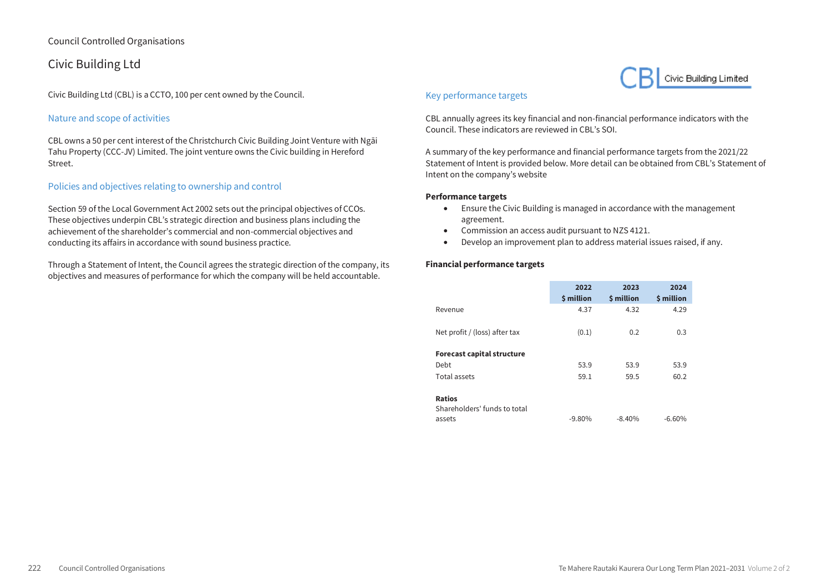# Civic Building Ltd

Civic Building Ltd (CBL) is a CCTO, 100 per cent owned by the Council.

# Nature and scope of activities

CBL owns a 50 per cent interest of the Christchurch Civic Building Joint Venture with Ngāi Tahu Property (CCC-JV) Limited. The joint venture owns the Civic building in Hereford Street.

# Policies and objectives relating to ownership and control

Section 59 of the Local Government Act 2002 sets out the principal objectives of CCOs. These objectives underpin CBL's strategic direction and business plans including the achievement of the shareholder's commercial and non-commercial objectives and conducting its affairs in accordance with sound business practice.

Through a Statement of Intent, the Council agrees the strategic direction of the company, its objectives and measures of performance for which the company will be held accountable.

# Key performance targets

CBL annually agrees its key financial and non-financial performance indicators with the Council. These indicators are reviewed in CBL's SOI.

A summary of the key performance and financial performance targets from the 2021/22 Statement of Intent is provided below. More detail can be obtained from CBL's Statement of Intent on the company's website

Civic Building Limited

### **Performance targets**

- Ensure the Civic Building is managed in accordance with the management agreement.
- Commission an access audit pursuant to NZS 4121.
- Develop an improvement plan to address material issues raised, if any.

|                                   | 2022<br>\$ million | 2023<br>\$ million | 2024<br>\$ million |
|-----------------------------------|--------------------|--------------------|--------------------|
| Revenue                           | 4.37               | 4.32               | 4.29               |
| Net profit / (loss) after tax     | (0.1)              | 0.2                | 0.3                |
| <b>Forecast capital structure</b> |                    |                    |                    |
| Debt                              | 53.9               | 53.9               | 53.9               |
| Total assets                      | 59.1               | 59.5               | 60.2               |
| <b>Ratios</b>                     |                    |                    |                    |
| Shareholders' funds to total      |                    |                    |                    |
| assets                            | $-9.80\%$          | $-8.40%$           | $-6.60%$           |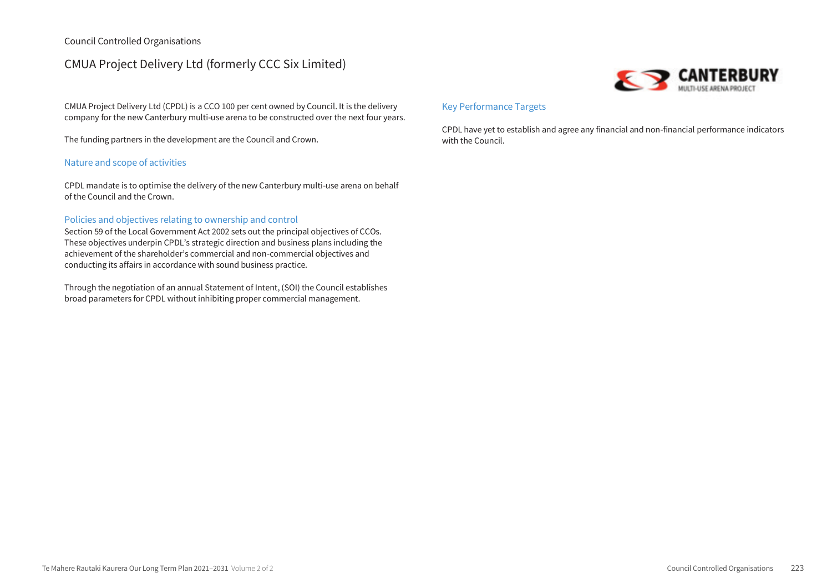# CMUA Project Delivery Ltd (formerly CCC Six Limited)

CMUA Project Delivery Ltd (CPDL) is a CCO 100 per cent owned by Council. It is the delivery company for the new Canterbury multi-use arena to be constructed over the next four years.

The funding partners in the development are the Council and Crown.

# Nature and scope of activities

CPDL mandate is to optimise the delivery of the new Canterbury multi-use arena on behalf of the Council and the Crown.

### Policies and objectives relating to ownership and control

Section 59 of the Local Government Act 2002 sets out the principal objectives of CCOs. These objectives underpin CPDL's strategic direction and business plans including the achievement of the shareholder's commercial and non-commercial objectives and conducting its affairs in accordance with sound business practice.

Through the negotiation of an annual Statement of Intent, (SOI) the Council establishes broad parameters for CPDL without inhibiting proper commercial management.



# Key Performance Targets

CPDL have yet to establish and agree any financial and non-financial performance indicators with the Council.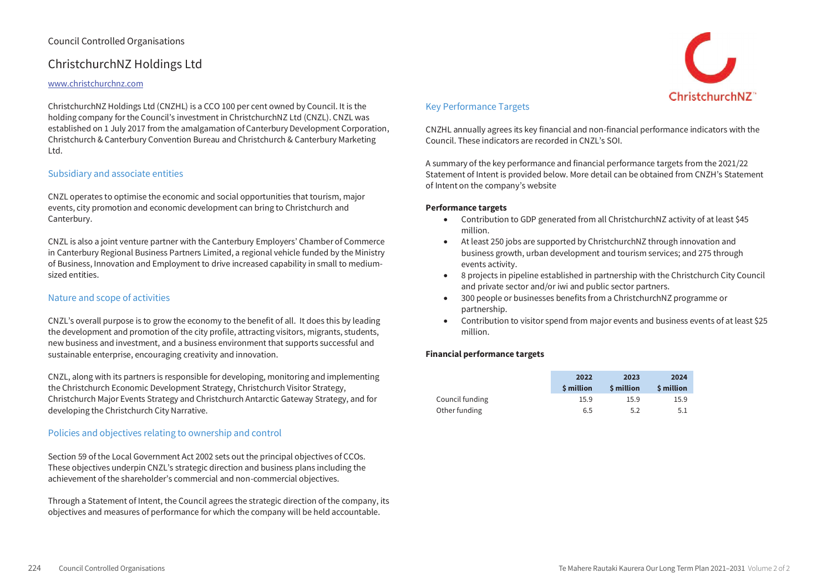# ChristchurchNZ Holdings Ltd

### www.christchurchnz.com

ChristchurchNZ Holdings Ltd (CNZHL) is a CCO 100 per cent owned by Council. It is the holding company for the Council's investment in ChristchurchNZ Ltd (CNZL). CNZL was established on 1 July 2017 from the amalgamation of Canterbury Development Corporation, Christchurch & Canterbury Convention Bureau and Christchurch & Canterbury Marketing Ltd.

### Subsidiary and associate entities

CNZL operates to optimise the economic and social opportunities that tourism, major events, city promotion and economic development can bring to Christchurch and Canterbury.

CNZL is also a joint venture partner with the Canterbury Employers' Chamber of Commerce in Canterbury Regional Business Partners Limited, a regional vehicle funded by the Ministry of Business, Innovation and Employment to drive increased capability in small to mediumsized entities.

## Nature and scope of activities

CNZL's overall purpose is to grow the economy to the benefit of all. It does this by leading the development and promotion of the city profile, attracting visitors, migrants, students, new business and investment, and a business environment that supports successful and sustainable enterprise, encouraging creativity and innovation.

CNZL, along with its partners is responsible for developing, monitoring and implementing the Christchurch Economic Development Strategy, Christchurch Visitor Strategy, Christchurch Major Events Strategy and Christchurch Antarctic Gateway Strategy, and for developing the Christchurch City Narrative.

## Policies and objectives relating to ownership and control

Section 59 of the Local Government Act 2002 sets out the principal objectives of CCOs. These objectives underpin CNZL's strategic direction and business plans including the achievement of the shareholder's commercial and non-commercial objectives.

Through a Statement of Intent, the Council agrees the strategic direction of the company, its objectives and measures of performance for which the company will be held accountable.

# Key Performance Targets

CNZHL annually agrees its key financial and non-financial performance indicators with the Council. These indicators are recorded in CNZL's SOI.

A summary of the key performance and financial performance targets from the 2021/22 Statement of Intent is provided below. More detail can be obtained from CNZH's Statement of Intent on the company's website

#### **Performance targets**

- Contribution to GDP generated from all ChristchurchNZ activity of at least \$45 million.
- At least 250 jobs are supported by ChristchurchNZ through innovation and business growth, urban development and tourism services; and 275 through events activity.
- 8 projects in pipeline established in partnership with the Christchurch City Council and private sector and/or iwi and public sector partners.
- 300 people or businesses benefits from a ChristchurchNZ programme or partnership.
- Contribution to visitor spend from major events and business events of at least \$25 million.

|                 | 2022             | 2023             | 2024             |
|-----------------|------------------|------------------|------------------|
|                 | <b>S</b> million | <b>S</b> million | <b>S</b> million |
| Council funding | 15.9             | 15.9             | 15.9             |
| Other funding   | 6.5              | 5.2              | 5.1              |

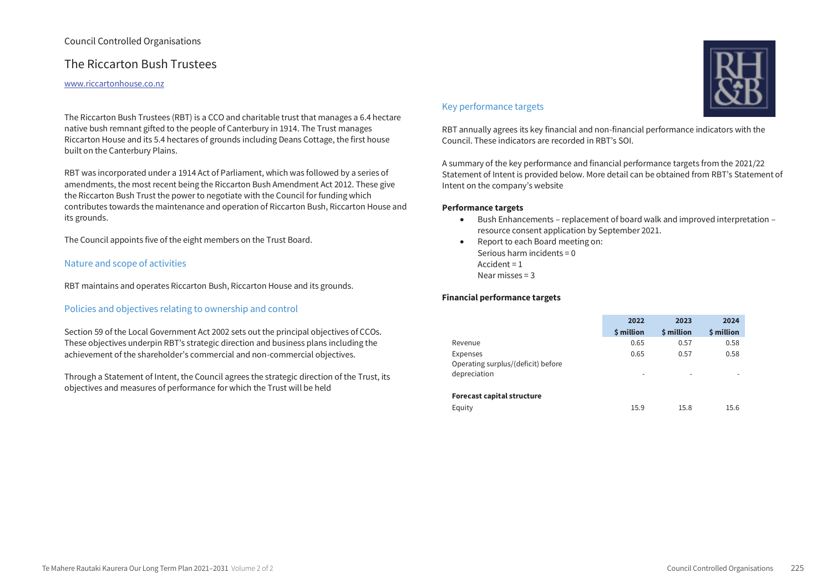# The Riccarton Bush Trustees

#### www.riccartonhouse.co.nz

The Riccarton Bush Trustees (RBT) is a CCO and charitable trust that manages a 6.4 hectare native bush remnant gifted to the people of Canterbury in 1914. The Trust manages Riccarton House and its 5.4 hectares of grounds including Deans Cottage, the first house built on the Canterbury Plains.

RBT was incorporated under a 1914 Act of Parliament, which was followed by a series of amendments, the most recent being the Riccarton Bush Amendment Act 2012. These give the Riccarton Bush Trust the power to negotiate with the Council for funding which contributes towards the maintenance and operation of Riccarton Bush, Riccarton House and its grounds.

The Council appoints five of the eight members on the Trust Board.

# Nature and scope of activities

RBT maintains and operates Riccarton Bush, Riccarton House and its grounds.

# Policies and objectives relating to ownership and control

Section 59 of the Local Government Act 2002 sets out the principal objectives of CCOs. These objectives underpin RBT's strategic direction and business plans including the achievement of the shareholder's commercial and non-commercial objectives.

Through a Statement of Intent, the Council agrees the strategic direction of the Trust, its objectives and measures of performance for which the Trust will be held

# Key performance targets

RBT annually agrees its key financial and non-financial performance indicators with the Council. These indicators are recorded in RBT's SOI.

A summary of the key performance and financial performance targets from the 2021/22 Statement of Intent is provided below. More detail can be obtained from RBT's Statement of Intent on the company's website

### **Performance targets**

- Bush Enhancements replacement of board walk and improved interpretation resource consent application by September 2021.
- Report to each Board meeting on: Serious harm incidents = 0 Accident = 1 Near misses = 3

|                                    | 2022       | 2023       | 2024       |
|------------------------------------|------------|------------|------------|
|                                    | \$ million | \$ million | \$ million |
| Revenue                            | 0.65       | 0.57       | 0.58       |
| Expenses                           | 0.65       | 0.57       | 0.58       |
| Operating surplus/(deficit) before |            |            |            |
| depreciation                       | -          | -          | -          |
|                                    |            |            |            |
| <b>Forecast capital structure</b>  |            |            |            |
| Equity                             | 15.9       | 15.8       | 15.6       |

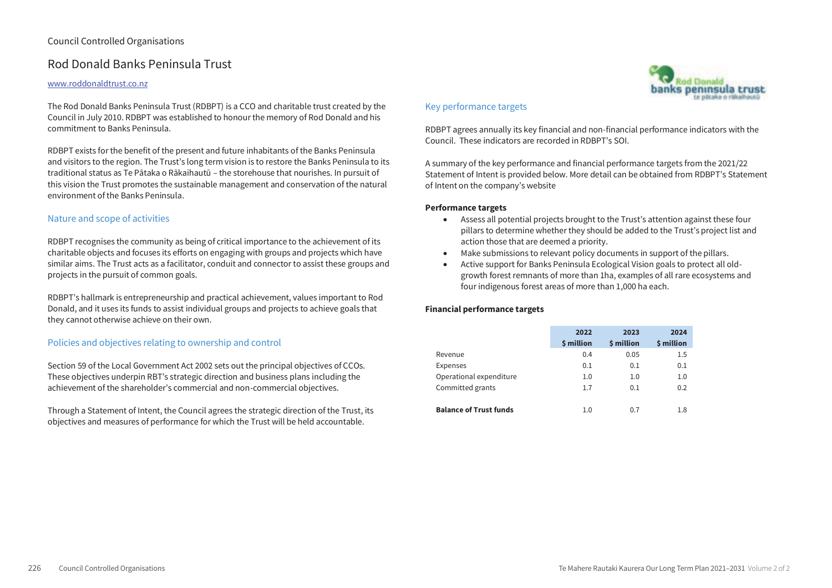# Rod Donald Banks Peninsula Trust

### www.roddonaldtrust.co.nz

The Rod Donald Banks Peninsula Trust (RDBPT) is a CCO and charitable trust created by the Council in July 2010. RDBPT was established to honour the memory of Rod Donald and his commitment to Banks Peninsula.

RDBPT exists for the benefit of the present and future inhabitants of the Banks Peninsula and visitors to the region. The Trust's long term vision is to restore the Banks Peninsula to its traditional status as Te Pātaka o Rākaihautū – the storehouse that nourishes. In pursuit of this vision the Trust promotes the sustainable management and conservation of the natural environment of the Banks Peninsula.

# Nature and scope of activities

RDBPT recognises the community as being of critical importance to the achievement of its charitable objects and focuses its efforts on engaging with groups and projects which have similar aims. The Trust acts as a facilitator, conduit and connector to assist these groups and projects in the pursuit of common goals.

RDBPT's hallmark is entrepreneurship and practical achievement, values important to Rod Donald, and it uses its funds to assist individual groups and projects to achieve goals that they cannot otherwise achieve on their own.

# Policies and objectives relating to ownership and control

Section 59 of the Local Government Act 2002 sets out the principal objectives of CCOs. These objectives underpin RBT's strategic direction and business plans including the achievement of the shareholder's commercial and non-commercial objectives.

Through a Statement of Intent, the Council agrees the strategic direction of the Trust, its objectives and measures of performance for which the Trust will be held accountable.

# Key performance targets

RDBPT agrees annually its key financial and non-financial performance indicators with the Council. These indicators are recorded in RDBPT's SOI.

**Rod Donald** banks peninsula trust

A summary of the key performance and financial performance targets from the 2021/22 Statement of Intent is provided below. More detail can be obtained from RDBPT's Statement of Intent on the company's website

### **Performance targets**

- Assess all potential projects brought to the Trust's attention against these four pillars to determine whether they should be added to the Trust's project list and action those that are deemed a priority.
- Make submissions to relevant policy documents in support of the pillars.
- Active support for Banks Peninsula Ecological Vision goals to protect all oldgrowth forest remnants of more than 1ha, examples of all rare ecosystems and four indigenous forest areas of more than 1,000 ha each.

|                               | 2022<br>\$ million | 2023<br>\$ million | 2024<br>\$ million |
|-------------------------------|--------------------|--------------------|--------------------|
| Revenue                       | 0.4                | 0.05               | 1.5                |
| Expenses                      | 0.1                | 0.1                | 0.1                |
| Operational expenditure       | 1.0                | 1.0                | 1.0                |
| Committed grants              | 1.7                | 0.1                | 0.2                |
| <b>Balance of Trust funds</b> | 1.0                | 0.7                | 1.8                |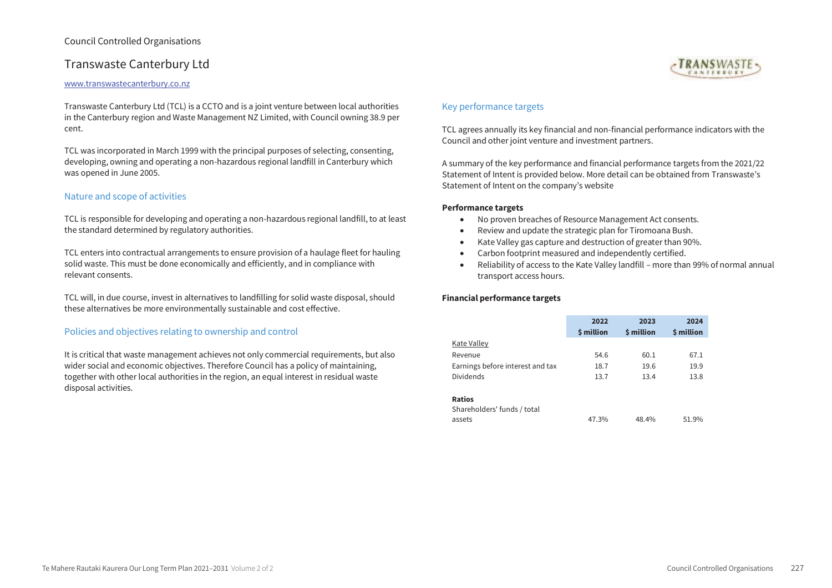# Transwaste Canterbury Ltd

#### www.transwastecanterbury.co.nz

Transwaste Canterbury Ltd (TCL) is a CCTO and is a joint venture between local authorities in the Canterbury region and Waste Management NZ Limited, with Council owning 38.9 per cent.

TCL was incorporated in March 1999 with the principal purposes of selecting, consenting, developing, owning and operating a non-hazardous regional landfill in Canterbury which was opened in June 2005.

## Nature and scope of activities

TCL is responsible for developing and operating a non-hazardous regional landfill, to at least the standard determined by regulatory authorities.

TCL enters into contractual arrangements to ensure provision of a haulage fleet for hauling solid waste. This must be done economically and efficiently, and in compliance with relevant consents.

TCL will, in due course, invest in alternatives to landfilling for solid waste disposal, should these alternatives be more environmentally sustainable and cost effective.

## Policies and objectives relating to ownership and control

It is critical that waste management achieves not only commercial requirements, but also wider social and economic objectives. Therefore Council has a policy of maintaining, together with other local authorities in the region, an equal interest in residual waste disposal activities.



# Key performance targets

TCL agrees annually its key financial and non-financial performance indicators with the Council and other joint venture and investment partners.

A summary of the key performance and financial performance targets from the 2021/22 Statement of Intent is provided below. More detail can be obtained from Transwaste's Statement of Intent on the company's website

#### **Performance targets**

- No proven breaches of Resource Management Act consents.
- Review and update the strategic plan for Tiromoana Bush.
- Kate Valley gas capture and destruction of greater than 90%.
- Carbon footprint measured and independently certified.
- Reliability of access to the Kate Valley landfill more than 99% of normal annual transport access hours.

|                                  | 2022       | 2023       | 2024       |
|----------------------------------|------------|------------|------------|
|                                  | \$ million | \$ million | \$ million |
| <b>Kate Valley</b>               |            |            |            |
| Revenue                          | 54.6       | 60.1       | 67.1       |
| Earnings before interest and tax | 18.7       | 19.6       | 19.9       |
| <b>Dividends</b>                 | 13.7       | 13.4       | 13.8       |
| <b>Ratios</b>                    |            |            |            |

| Shareholders' funds / total |       |       |       |
|-----------------------------|-------|-------|-------|
| assets                      | 47.3% | 48.4% | 51.9% |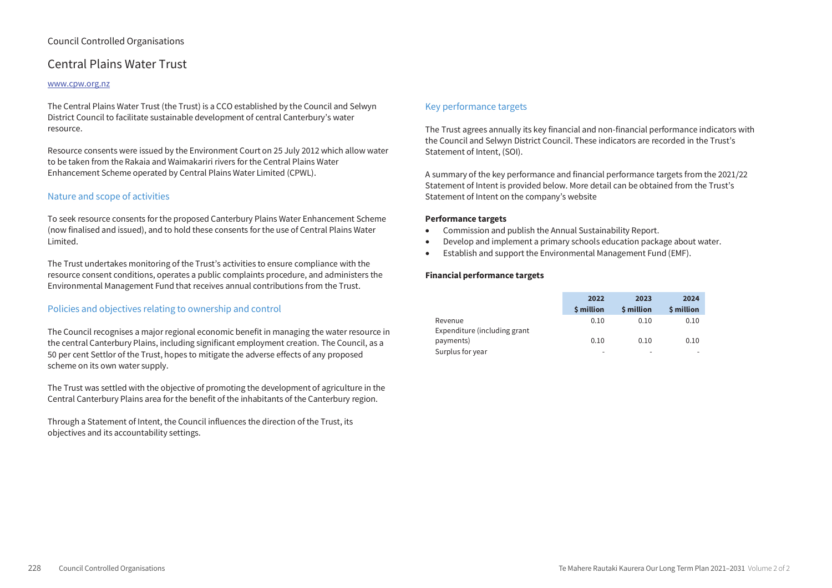# Central Plains Water Trust

#### www.cpw.org.nz

The Central Plains Water Trust (the Trust) is a CCO established by the Council and Selwyn District Council to facilitate sustainable development of central Canterbury's water resource.

Resource consents were issued by the Environment Court on 25 July 2012 which allow water to be taken from the Rakaia and Waimakariri rivers for the Central Plains Water Enhancement Scheme operated by Central Plains Water Limited (CPWL).

## Nature and scope of activities

To seek resource consents for the proposed Canterbury Plains Water Enhancement Scheme (now finalised and issued), and to hold these consents for the use of Central Plains Water Limited.

The Trust undertakes monitoring of the Trust's activities to ensure compliance with the resource consent conditions, operates a public complaints procedure, and administers the Environmental Management Fund that receives annual contributions from the Trust.

## Policies and objectives relating to ownership and control

The Council recognises a major regional economic benefit in managing the water resource in the central Canterbury Plains, including significant employment creation. The Council, as a 50 per cent Settlor of the Trust, hopes to mitigate the adverse effects of any proposed scheme on its own water supply.

The Trust was settled with the objective of promoting the development of agriculture in the Central Canterbury Plains area for the benefit of the inhabitants of the Canterbury region.

Through a Statement of Intent, the Council influences the direction of the Trust, its objectives and its accountability settings.

# Key performance targets

The Trust agrees annually its key financial and non-financial performance indicators with the Council and Selwyn District Council. These indicators are recorded in the Trust's Statement of Intent, (SOI).

A summary of the key performance and financial performance targets from the 2021/22 Statement of Intent is provided below. More detail can be obtained from the Trust's Statement of Intent on the company's website

#### **Performance targets**

- Commission and publish the Annual Sustainability Report.
- Develop and implement a primary schools education package about water.
- Establish and support the Environmental Management Fund (EMF).

|                              | 2022                    | 2023       | 2024                    |
|------------------------------|-------------------------|------------|-------------------------|
|                              | <b><i>S</i></b> million | \$ million | <b><i>S</i></b> million |
| Revenue                      | 0.10                    | 0.10       | 0.10                    |
| Expenditure (including grant |                         |            |                         |
| payments)                    | 0.10                    | 0.10       | 0.10                    |
| Surplus for year             | -                       | -          |                         |